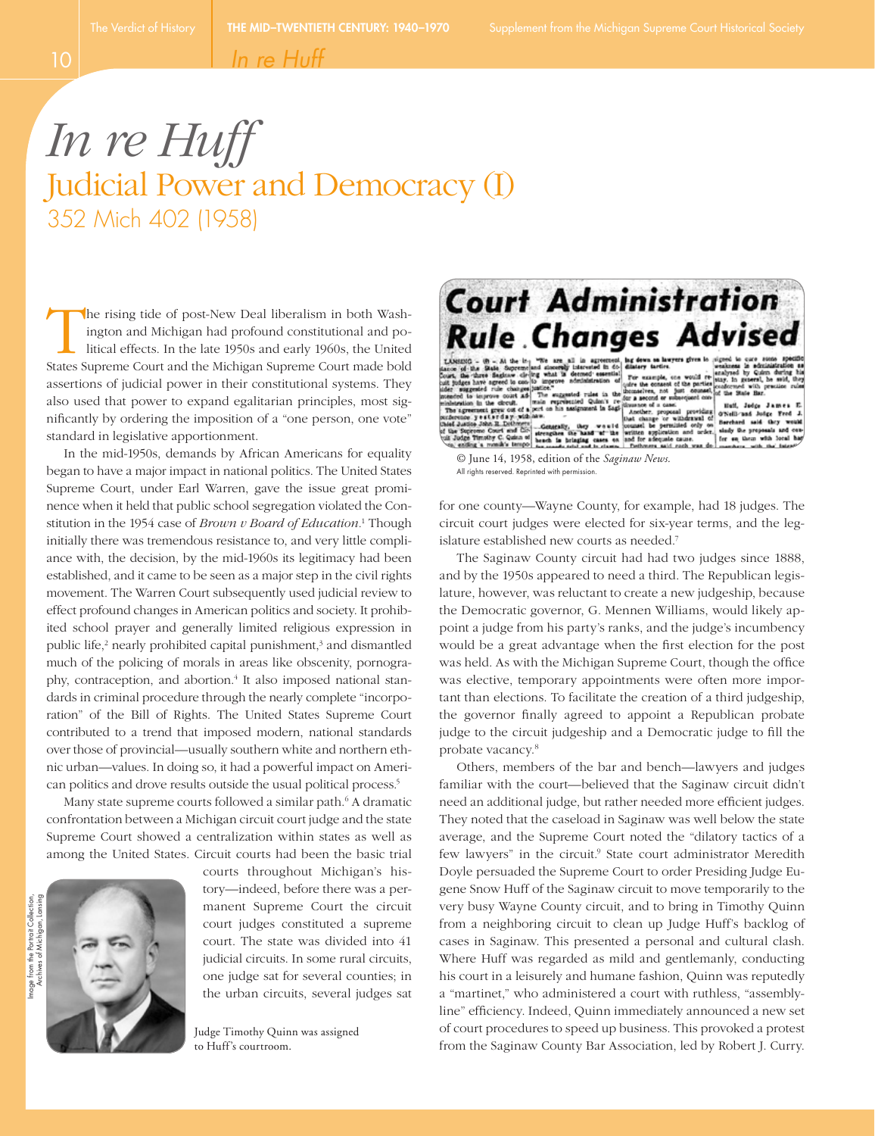*In re Huff*

## *In re Huff* Judicial Power and Democracy (I) 352 Mich 402 (1958)

The rising tide of post-New Deal liberalism in both Wash-<br>ington and Michigan had profound constitutional and po-<br>litical effects. In the late 1950s and early 1960s, the United<br>States Supreme Court and the Michigan Supreme ington and Michigan had profound constitutional and political effects. In the late 1950s and early 1960s, the United States Supreme Court and the Michigan Supreme Court made bold assertions of judicial power in their constitutional systems. They also used that power to expand egalitarian principles, most significantly by ordering the imposition of a "one person, one vote" standard in legislative apportionment.

In the mid-1950s, demands by African Americans for equality began to have a major impact in national politics. The United States Supreme Court, under Earl Warren, gave the issue great prominence when it held that public school segregation violated the Constitution in the 1954 case of *Brown v Board of Education.*<sup>1</sup> Though initially there was tremendous resistance to, and very little compliance with, the decision, by the mid-1960s its legitimacy had been established, and it came to be seen as a major step in the civil rights movement. The Warren Court subsequently used judicial review to effect profound changes in American politics and society. It prohibited school prayer and generally limited religious expression in public life,<sup>2</sup> nearly prohibited capital punishment,<sup>3</sup> and dismantled much of the policing of morals in areas like obscenity, pornography, contraception, and abortion.<sup>4</sup> It also imposed national standards in criminal procedure through the nearly complete "incorporation" of the Bill of Rights. The United States Supreme Court contributed to a trend that imposed modern, national standards over those of provincial—usually southern white and northern ethnic urban—values. In doing so, it had a powerful impact on American politics and drove results outside the usual political process.<sup>5</sup>

Many state supreme courts followed a similar path.<sup>6</sup> A dramatic confrontation between a Michigan circuit court judge and the state Supreme Court showed a centralization within states as well as among the United States. Circuit courts had been the basic trial



mage from the Portrait Collection,

courts throughout Michigan's history—indeed, before there was a permanent Supreme Court the circuit court judges constituted a supreme court. The state was divided into 41 judicial circuits. In some rural circuits, one judge sat for several counties; in the urban circuits, several judges sat

Judge Timothy Quinn was assigned to Huff's courtroom.



© June 14, 1958, edition of the *Saginaw News.* All rights reserved. Reprinted with permission.

for one county—Wayne County, for example, had 18 judges. The circuit court judges were elected for six-year terms, and the legislature established new courts as needed.7

The Saginaw County circuit had had two judges since 1888, and by the 1950s appeared to need a third. The Republican legislature, however, was reluctant to create a new judgeship, because the Democratic governor, G. Mennen Williams, would likely appoint a judge from his party's ranks, and the judge's incumbency would be a great advantage when the first election for the post was held. As with the Michigan Supreme Court, though the office was elective, temporary appointments were often more important than elections. To facilitate the creation of a third judgeship, the governor finally agreed to appoint a Republican probate judge to the circuit judgeship and a Democratic judge to fill the probate vacancy.8

Others, members of the bar and bench—lawyers and judges familiar with the court—believed that the Saginaw circuit didn't need an additional judge, but rather needed more efficient judges. They noted that the caseload in Saginaw was well below the state average, and the Supreme Court noted the "dilatory tactics of a few lawyers" in the circuit.<sup>9</sup> State court administrator Meredith Doyle persuaded the Supreme Court to order Presiding Judge Eugene Snow Huff of the Saginaw circuit to move temporarily to the very busy Wayne County circuit, and to bring in Timothy Quinn from a neighboring circuit to clean up Judge Huff's backlog of cases in Saginaw. This presented a personal and cultural clash. Where Huff was regarded as mild and gentlemanly, conducting his court in a leisurely and humane fashion, Quinn was reputedly a "martinet," who administered a court with ruthless, "assemblyline" efficiency. Indeed, Quinn immediately announced a new set of court procedures to speed up business. This provoked a protest from the Saginaw County Bar Association, led by Robert J. Curry.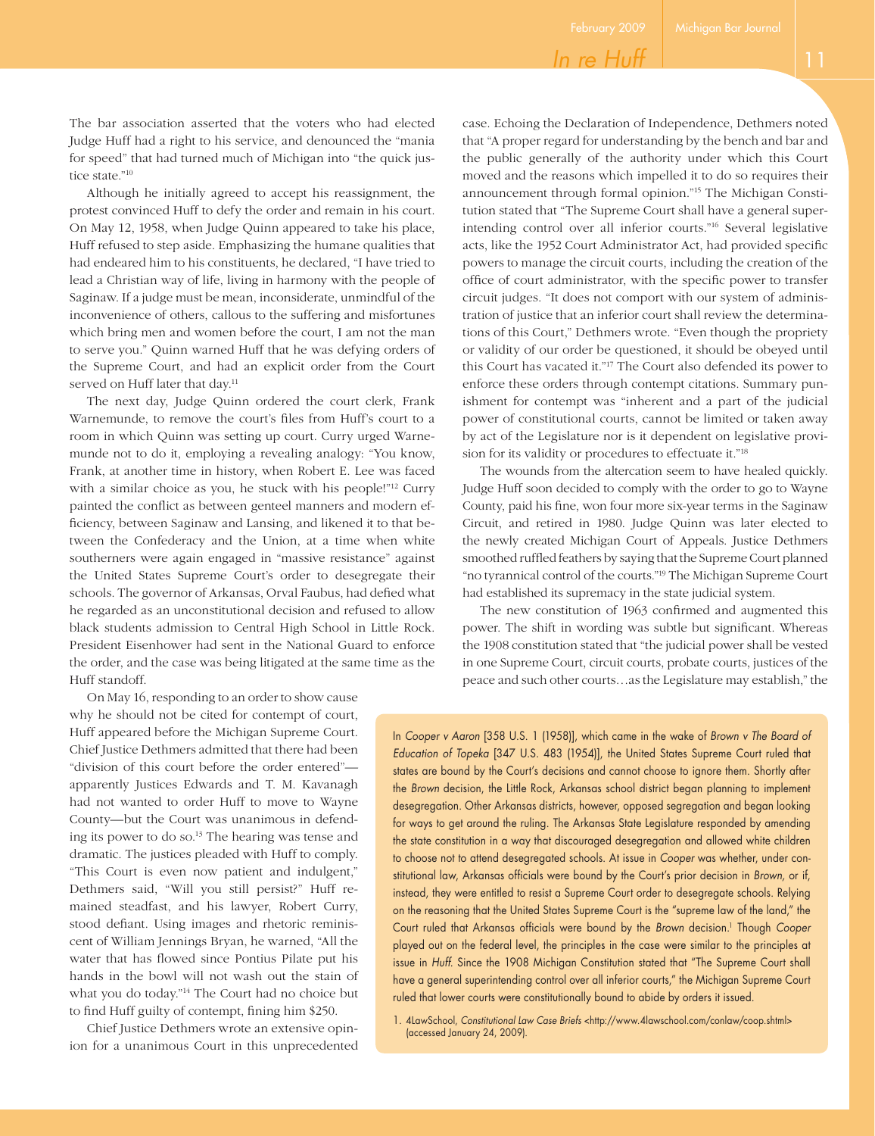## *In re Huff*

The bar association asserted that the voters who had elected Judge Huff had a right to his service, and denounced the "mania for speed" that had turned much of Michigan into "the quick justice state."10

Although he initially agreed to accept his reassignment, the protest convinced Huff to defy the order and remain in his court. On May 12, 1958, when Judge Quinn appeared to take his place, Huff refused to step aside. Emphasizing the humane qualities that had endeared him to his constituents, he declared, "I have tried to lead a Christian way of life, living in harmony with the people of Saginaw. If a judge must be mean, inconsiderate, unmindful of the inconvenience of others, callous to the suffering and misfortunes which bring men and women before the court, I am not the man to serve you." Quinn warned Huff that he was defying orders of the Supreme Court, and had an explicit order from the Court served on Huff later that day.<sup>11</sup>

The next day, Judge Quinn ordered the court clerk, Frank Warnemunde, to remove the court's files from Huff's court to a room in which Quinn was setting up court. Curry urged Warnemunde not to do it, employing a revealing analogy: "You know, Frank, at another time in history, when Robert E. Lee was faced with a similar choice as you, he stuck with his people!"<sup>12</sup> Curry painted the conflict as between genteel manners and modern efficiency, between Saginaw and Lansing, and likened it to that between the Confederacy and the Union, at a time when white southerners were again engaged in "massive resistance" against the United States Supreme Court's order to desegregate their schools. The governor of Arkansas, Orval Faubus, had defied what he regarded as an unconstitutional decision and refused to allow black students admission to Central High School in Little Rock. President Eisenhower had sent in the National Guard to enforce the order, and the case was being litigated at the same time as the Huff standoff.

On May 16, responding to an order to show cause why he should not be cited for contempt of court, Huff appeared before the Michigan Supreme Court. Chief Justice Dethmers admitted that there had been "division of this court before the order entered" apparently Justices Edwards and T. M. Kavanagh had not wanted to order Huff to move to Wayne County—but the Court was unanimous in defending its power to do so.<sup>13</sup> The hearing was tense and dramatic. The justices pleaded with Huff to comply. "This Court is even now patient and indulgent," Dethmers said, "Will you still persist?" Huff remained steadfast, and his lawyer, Robert Curry, stood defiant. Using images and rhetoric reminiscent of William Jennings Bryan, he warned, "All the water that has flowed since Pontius Pilate put his hands in the bowl will not wash out the stain of what you do today."14 The Court had no choice but to find Huff guilty of contempt, fining him \$250.

Chief Justice Dethmers wrote an extensive opinion for a unanimous Court in this unprecedented case. Echoing the Declaration of Independence, Dethmers noted that "A proper regard for understanding by the bench and bar and the public generally of the authority under which this Court moved and the reasons which impelled it to do so requires their announcement through formal opinion."15 The Michigan Constitution stated that "The Supreme Court shall have a general superintending control over all inferior courts."16 Several legislative acts, like the 1952 Court Administrator Act, had provided specific powers to manage the circuit courts, including the creation of the office of court administrator, with the specific power to transfer circuit judges. "It does not comport with our system of administration of justice that an inferior court shall review the determinations of this Court," Dethmers wrote. "Even though the propriety or validity of our order be questioned, it should be obeyed until this Court has vacated it."17 The Court also defended its power to enforce these orders through contempt citations. Summary punishment for contempt was "inherent and a part of the judicial power of constitutional courts, cannot be limited or taken away by act of the Legislature nor is it dependent on legislative provision for its validity or procedures to effectuate it."18

The wounds from the altercation seem to have healed quickly. Judge Huff soon decided to comply with the order to go to Wayne County, paid his fine, won four more six-year terms in the Saginaw Circuit, and retired in 1980. Judge Quinn was later elected to the newly created Michigan Court of Appeals. Justice Dethmers smoothed ruffled feathers by saying that the Supreme Court planned "no tyrannical control of the courts."19 The Michigan Supreme Court had established its supremacy in the state judicial system.

The new constitution of 1963 confirmed and augmented this power. The shift in wording was subtle but significant. Whereas the 1908 constitution stated that "the judicial power shall be vested in one Supreme Court, circuit courts, probate courts, justices of the peace and such other courts…as the Legislature may establish," the

In *Cooper v Aaron* [358 U.S. 1 (1958)], which came in the wake of *Brown v The Board of Education of Topeka* [347 U.S. 483 (1954)], the United States Supreme Court ruled that states are bound by the Court's decisions and cannot choose to ignore them. Shortly after the *Brown* decision, the Little Rock, Arkansas school district began planning to implement desegregation. Other Arkansas districts, however, opposed segregation and began looking for ways to get around the ruling. The Arkansas State Legislature responded by amending the state constitution in a way that discouraged desegregation and allowed white children to choose not to attend desegregated schools. At issue in *Cooper* was whether, under constitutional law, Arkansas officials were bound by the Court's prior decision in *Brown,* or if, instead, they were entitled to resist a Supreme Court order to desegregate schools. Relying on the reasoning that the United States Supreme Court is the "supreme law of the land," the Court ruled that Arkansas officials were bound by the *Brown* decision.1 Though *Cooper* played out on the federal level, the principles in the case were similar to the principles at issue in *Huff.* Since the 1908 Michigan Constitution stated that "The Supreme Court shall have a general superintending control over all inferior courts," the Michigan Supreme Court ruled that lower courts were constitutionally bound to abide by orders it issued.

<sup>1.</sup> 4LawSchool, *Constitutional Law Case Briefs* <http://www.4lawschool.com/conlaw/coop.shtml> (accessed January 24, 2009).